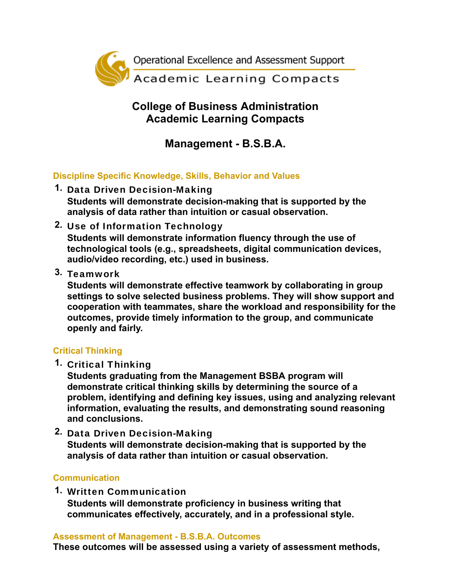

## **College of Business Administration Academic Learning Compacts**

# **Management - B.S.B.A.**

### **Discipline Specific Knowledge, Skills, Behavior and Values**

- **1.** Data Driven Decision-Making **Students will demonstrate decision-making that is supported by the analysis of data rather than intuition or casual observation.**
- **2.** Use of Information Technology **Students will demonstrate information fluency through the use of technological tools (e.g., spreadsheets, digital communication devices, audio/video recording, etc.) used in business.**
- **3.** Teamwork

**Students will demonstrate effective teamwork by collaborating in group settings to solve selected business problems. They will show support and cooperation with teammates, share the workload and responsibility for the outcomes, provide timely information to the group, and communicate openly and fairly.**

#### **Critical Thinking**

**1.** Critical Thinking

**Students graduating from the Management BSBA program will demonstrate critical thinking skills by determining the source of a problem, identifying and defining key issues, using and analyzing relevant information, evaluating the results, and demonstrating sound reasoning and conclusions.**

**2.** Data Driven Decision-Making **Students will demonstrate decision-making that is supported by the analysis of data rather than intuition or casual observation.**

#### **Communication**

**1.** Written Communication **Students will demonstrate proficiency in business writing that communicates effectively, accurately, and in a professional style.**

#### **Assessment of Management - B.S.B.A. Outcomes**

**These outcomes will be assessed using a variety of assessment methods,**